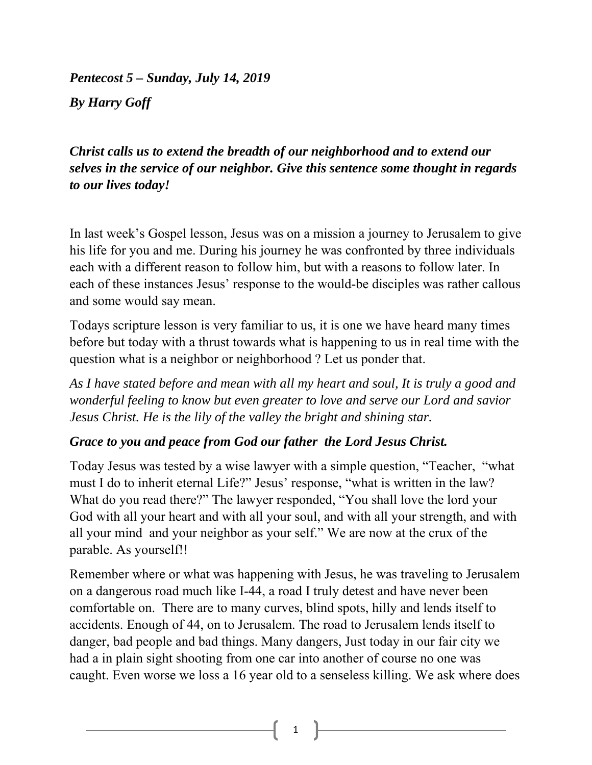*Pentecost 5 – Sunday, July 14, 2019 By Harry Goff* 

*Christ calls us to extend the breadth of our neighborhood and to extend our selves in the service of our neighbor. Give this sentence some thought in regards to our lives today!* 

In last week's Gospel lesson, Jesus was on a mission a journey to Jerusalem to give his life for you and me. During his journey he was confronted by three individuals each with a different reason to follow him, but with a reasons to follow later. In each of these instances Jesus' response to the would-be disciples was rather callous and some would say mean.

Todays scripture lesson is very familiar to us, it is one we have heard many times before but today with a thrust towards what is happening to us in real time with the question what is a neighbor or neighborhood ? Let us ponder that.

*As I have stated before and mean with all my heart and soul, It is truly a good and wonderful feeling to know but even greater to love and serve our Lord and savior Jesus Christ. He is the lily of the valley the bright and shining star.* 

## *Grace to you and peace from God our father the Lord Jesus Christ.*

Today Jesus was tested by a wise lawyer with a simple question, "Teacher, "what must I do to inherit eternal Life?" Jesus' response, "what is written in the law? What do you read there?" The lawyer responded, "You shall love the lord your God with all your heart and with all your soul, and with all your strength, and with all your mind and your neighbor as your self." We are now at the crux of the parable. As yourself!!

Remember where or what was happening with Jesus, he was traveling to Jerusalem on a dangerous road much like I-44, a road I truly detest and have never been comfortable on. There are to many curves, blind spots, hilly and lends itself to accidents. Enough of 44, on to Jerusalem. The road to Jerusalem lends itself to danger, bad people and bad things. Many dangers, Just today in our fair city we had a in plain sight shooting from one car into another of course no one was caught. Even worse we loss a 16 year old to a senseless killing. We ask where does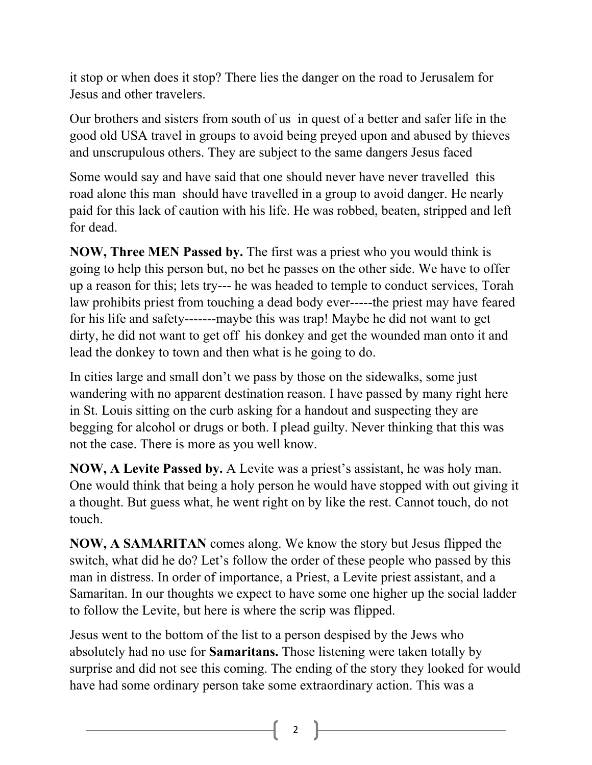it stop or when does it stop? There lies the danger on the road to Jerusalem for Jesus and other travelers.

Our brothers and sisters from south of us in quest of a better and safer life in the good old USA travel in groups to avoid being preyed upon and abused by thieves and unscrupulous others. They are subject to the same dangers Jesus faced

Some would say and have said that one should never have never travelled this road alone this man should have travelled in a group to avoid danger. He nearly paid for this lack of caution with his life. He was robbed, beaten, stripped and left for dead.

**NOW, Three MEN Passed by.** The first was a priest who you would think is going to help this person but, no bet he passes on the other side. We have to offer up a reason for this; lets try--- he was headed to temple to conduct services, Torah law prohibits priest from touching a dead body ever-----the priest may have feared for his life and safety-------maybe this was trap! Maybe he did not want to get dirty, he did not want to get off his donkey and get the wounded man onto it and lead the donkey to town and then what is he going to do.

In cities large and small don't we pass by those on the sidewalks, some just wandering with no apparent destination reason. I have passed by many right here in St. Louis sitting on the curb asking for a handout and suspecting they are begging for alcohol or drugs or both. I plead guilty. Never thinking that this was not the case. There is more as you well know.

**NOW, A Levite Passed by.** A Levite was a priest's assistant, he was holy man. One would think that being a holy person he would have stopped with out giving it a thought. But guess what, he went right on by like the rest. Cannot touch, do not touch.

**NOW, A SAMARITAN** comes along. We know the story but Jesus flipped the switch, what did he do? Let's follow the order of these people who passed by this man in distress. In order of importance, a Priest, a Levite priest assistant, and a Samaritan. In our thoughts we expect to have some one higher up the social ladder to follow the Levite, but here is where the scrip was flipped.

Jesus went to the bottom of the list to a person despised by the Jews who absolutely had no use for **Samaritans.** Those listening were taken totally by surprise and did not see this coming. The ending of the story they looked for would have had some ordinary person take some extraordinary action. This was a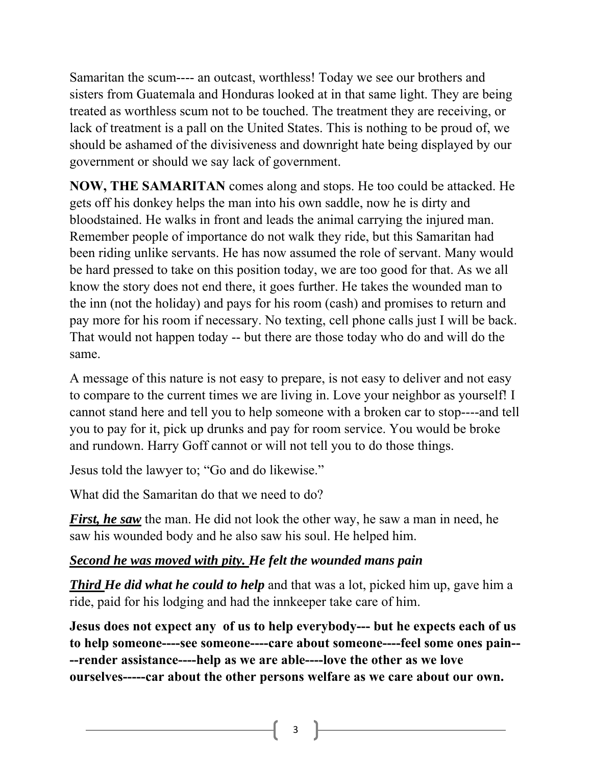Samaritan the scum---- an outcast, worthless! Today we see our brothers and sisters from Guatemala and Honduras looked at in that same light. They are being treated as worthless scum not to be touched. The treatment they are receiving, or lack of treatment is a pall on the United States. This is nothing to be proud of, we should be ashamed of the divisiveness and downright hate being displayed by our government or should we say lack of government.

**NOW, THE SAMARITAN** comes along and stops. He too could be attacked. He gets off his donkey helps the man into his own saddle, now he is dirty and bloodstained. He walks in front and leads the animal carrying the injured man. Remember people of importance do not walk they ride, but this Samaritan had been riding unlike servants. He has now assumed the role of servant. Many would be hard pressed to take on this position today, we are too good for that. As we all know the story does not end there, it goes further. He takes the wounded man to the inn (not the holiday) and pays for his room (cash) and promises to return and pay more for his room if necessary. No texting, cell phone calls just I will be back. That would not happen today -- but there are those today who do and will do the same.

A message of this nature is not easy to prepare, is not easy to deliver and not easy to compare to the current times we are living in. Love your neighbor as yourself! I cannot stand here and tell you to help someone with a broken car to stop----and tell you to pay for it, pick up drunks and pay for room service. You would be broke and rundown. Harry Goff cannot or will not tell you to do those things.

Jesus told the lawyer to; "Go and do likewise."

What did the Samaritan do that we need to do?

*First, he saw* the man. He did not look the other way, he saw a man in need, he saw his wounded body and he also saw his soul. He helped him.

## *Second he was moved with pity. He felt the wounded mans pain*

*Third He did what he could to help* and that was a lot, picked him up, gave him a ride, paid for his lodging and had the innkeeper take care of him.

**Jesus does not expect any of us to help everybody--- but he expects each of us to help someone----see someone----care about someone----feel some ones pain-- --render assistance----help as we are able----love the other as we love ourselves-----car about the other persons welfare as we care about our own.** 

3